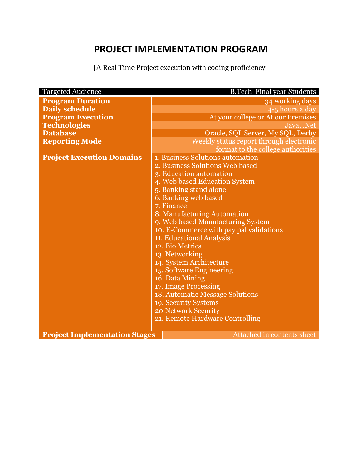# **PROJECT IMPLEMENTATION PROGRAM**

[A Real Time Project execution with coding proficiency]

| <b>Targeted Audience</b><br><b>B.Tech Final year Students</b> |                                         |  |
|---------------------------------------------------------------|-----------------------------------------|--|
| <b>Program Duration</b>                                       | 34 working days                         |  |
| <b>Daily schedule</b>                                         | 4-5 hours a day                         |  |
| <b>Program Execution</b>                                      | At your college or At our Premises      |  |
| <b>Technologies</b>                                           | Java, .Net                              |  |
| <b>Database</b>                                               | Oracle, SQL Server, My SQL, Derby       |  |
| <b>Reporting Mode</b>                                         | Weekly status report through electronic |  |
|                                                               | format to the college authorities       |  |
| <b>Project Execution Domains</b>                              | 1. Business Solutions automation        |  |
|                                                               | 2. Business Solutions Web based         |  |
|                                                               | 3. Education automation                 |  |
|                                                               | 4. Web based Education System           |  |
|                                                               | 5. Banking stand alone                  |  |
|                                                               | 6. Banking web based                    |  |
|                                                               | 7. Finance                              |  |
|                                                               | 8. Manufacturing Automation             |  |
|                                                               | 9. Web based Manufacturing System       |  |
|                                                               | 10. E-Commerce with pay pal validations |  |
|                                                               | 11. Educational Analysis                |  |
|                                                               | 12. Bio Metrics                         |  |
|                                                               | 13. Networking                          |  |
|                                                               | 14. System Architecture                 |  |
|                                                               | 15. Software Engineering                |  |
|                                                               | 16. Data Mining                         |  |
|                                                               | 17. Image Processing                    |  |
|                                                               | <b>18. Automatic Message Solutions</b>  |  |
|                                                               | 19. Security Systems                    |  |
|                                                               | 20. Network Security                    |  |
|                                                               | 21. Remote Hardware Controlling         |  |
|                                                               |                                         |  |
| <b>Project Implementation Stages</b>                          | Attached in contents sheet              |  |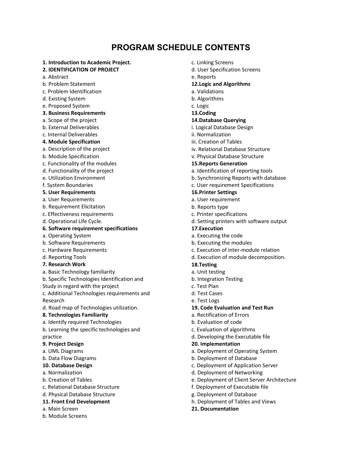# **PROGRAM SCHEDULE CONTENTS**

- **1. Introduction to Academic Project.**
- **2. IDENTIFICATION OF PROJECT**
- a. Abstract
- b. Problem Statement
- c. Problem Identification
- d. Existing System
- e. Proposed System
- **3. Business Requirements**
- a. Scope of the project
- b. External Deliverables
- c. Internal Deliverables
- **4. Module Specification**
- a. Description of the project
- b. Module Specification
- c. Functionality of the modules
- d. Functionality of the project
- e. Utilization Environment
- f. System Boundaries
- **5. User Requirements**
- a. User Requirements
- b. Requirement Elicitation
- c. Effectiveness requirements
- d. Operational Life Cycle.

# **6. Software requirement specifications**

- a. Operating System
- b. Software Requirements
- c. Hardware Requirements
- d. Reporting Tools
- **7. Research Work**
- a. Basic Technology familiarity
- b. Specific Technologies Identification and
- Study in regard with the project
- c. Additional Technologies requirements and Research
- d. Road map of Technologies utilization.

# **8. Technologies Familiarity**

- a. Identify required Technologies
- b. Learning the specific technologies and practice

# **9. Project Design**

- a. UML Diagrams
- b. Data Flow Diagrams

# **10. Database Design**

- a. Normalization
- b. Creation of Tables
- c. Relational Database Structure
- d. Physical Database Structure

# **11. Front End Development**

- a. Main Screen
- b. Module Screens
- c. Linking Screens
- d. User Specification Screens
- e. Reports

# **12.Logic and Algorithms**

- a. Validations
- b. Algorithms

# c. Logic

**13.Coding** 

# **14.Database Querying**

- i. Logical Database Design
- ii. Normalization
- iii. Creation of Tables
- iv. Relational Database Structure
- v. Physical Database Structure

# **15.Reports Generation**

- a. Identification of reporting tools
- b. Synchronizing Reports with database
- c. User requirement Specifications

# **16.Printer Settings**

- a. User requirement
- b. Reports type
- c. Printer specifications
- d. Setting printers with software output

# **17.Execution**

- a. Executing the code
- b. Executing the modules
- c. Execution of inter‐module relation
- d. Execution of module decomposition.

# **18.Testing**

- a. Unit testing
- b. Integration Testing
- c. Test Plan
- d. Test Cases
- e. Test Logs
- **19. Code Evaluation and Test Run**
- a. Rectification of Errors
- b. Evaluation of code
- c. Evaluation of algorithms
- d. Developing the Executable file

#### **20. Implementation**

- a. Deployment of Operating System
- b. Deployment of Database
- c. Deployment of Application Server
- d. Deployment of Networking
- e. Deployment of Client Server Architecture
- f. Deployment of Executable file
- g. Deployment of Database
- h. Deployment of Tables and Views
- **21. Documentation**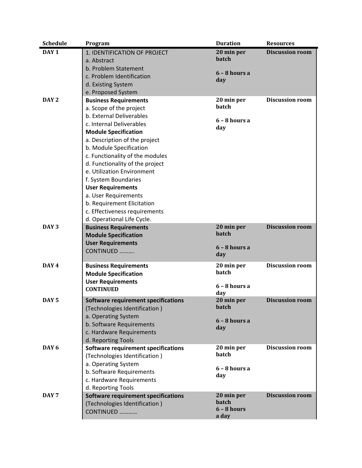| <b>Schedule</b>  | Program                                    | <b>Duration</b>        | <b>Resources</b>       |
|------------------|--------------------------------------------|------------------------|------------------------|
| DAY <sub>1</sub> | 1. IDENTIFICATION OF PROJECT               | 20 min per             | <b>Discussion room</b> |
|                  | a. Abstract                                | batch                  |                        |
|                  | b. Problem Statement                       |                        |                        |
|                  | c. Problem Identification                  | $6 - 8$ hours a<br>day |                        |
|                  | d. Existing System                         |                        |                        |
|                  | e. Proposed System                         |                        |                        |
| DAY <sub>2</sub> | <b>Business Requirements</b>               | 20 min per             | <b>Discussion room</b> |
|                  | a. Scope of the project                    | batch                  |                        |
|                  | b. External Deliverables                   |                        |                        |
|                  | c. Internal Deliverables                   | $6 - 8$ hours a<br>day |                        |
|                  | <b>Module Specification</b>                |                        |                        |
|                  | a. Description of the project              |                        |                        |
|                  | b. Module Specification                    |                        |                        |
|                  | c. Functionality of the modules            |                        |                        |
|                  | d. Functionality of the project            |                        |                        |
|                  | e. Utilization Environment                 |                        |                        |
|                  | f. System Boundaries                       |                        |                        |
|                  | <b>User Requirements</b>                   |                        |                        |
|                  | a. User Requirements                       |                        |                        |
|                  | b. Requirement Elicitation                 |                        |                        |
|                  | c. Effectiveness requirements              |                        |                        |
|                  | d. Operational Life Cycle.                 |                        |                        |
| DAY <sub>3</sub> | <b>Business Requirements</b>               | 20 min per             | <b>Discussion room</b> |
|                  | <b>Module Specification</b>                | batch                  |                        |
|                  | <b>User Requirements</b>                   | $6 - 8$ hours a        |                        |
|                  | CONTINUED                                  | day                    |                        |
|                  |                                            |                        |                        |
| DAY 4            | <b>Business Requirements</b>               | 20 min per             | <b>Discussion room</b> |
|                  | <b>Module Specification</b>                | batch                  |                        |
|                  | <b>User Requirements</b>                   | $6 - 8$ hours a        |                        |
|                  | <b>CONTINUED</b>                           | day                    |                        |
| DAY <sub>5</sub> | Software requirement specifications        | 20 min per             | <b>Discussion room</b> |
|                  | (Technologies Identification)              | batch                  |                        |
|                  | a. Operating System                        |                        |                        |
|                  | b. Software Requirements                   | $6 - 8$ hours a<br>day |                        |
|                  | c. Hardware Requirements                   |                        |                        |
|                  | d. Reporting Tools                         |                        |                        |
| DAY <sub>6</sub> | <b>Software requirement specifications</b> | 20 min per             | <b>Discussion room</b> |
|                  | (Technologies Identification)              | batch                  |                        |
|                  | a. Operating System                        |                        |                        |
|                  | b. Software Requirements                   | $6 - 8$ hours a<br>day |                        |
|                  | c. Hardware Requirements                   |                        |                        |
|                  | d. Reporting Tools                         |                        |                        |
| DAY <sub>7</sub> | Software requirement specifications        | 20 min per             | <b>Discussion room</b> |
|                  | (Technologies Identification)              | batch                  |                        |
|                  | CONTINUED                                  | $6 - 8$ hours          |                        |
|                  |                                            | a day                  |                        |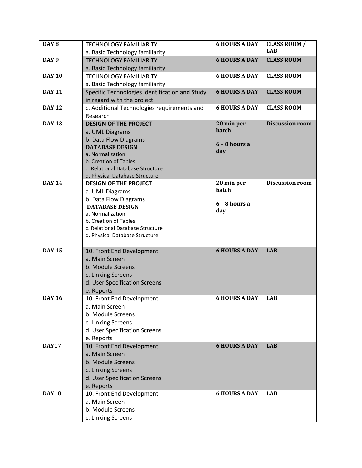| DAY <sub>8</sub><br><b>6 HOURS A DAY</b><br><b>CLASS ROOM /</b><br><b>TECHNOLOGY FAMILIARITY</b><br><b>LAB</b><br>a. Basic Technology familiarity<br><b>CLASS ROOM</b><br><b>6 HOURS A DAY</b><br>DAY <sub>9</sub><br><b>TECHNOLOGY FAMILIARITY</b><br>a. Basic Technology familiarity<br><b>6 HOURS A DAY</b><br><b>CLASS ROOM</b><br><b>DAY 10</b><br><b>TECHNOLOGY FAMILIARITY</b><br>a. Basic Technology familiarity<br><b>6 HOURS A DAY</b><br><b>CLASS ROOM</b><br><b>DAY 11</b><br>Specific Technologies Identification and Study<br>in regard with the project<br><b>DAY 12</b><br><b>6 HOURS A DAY</b><br><b>CLASS ROOM</b><br>c. Additional Technologies requirements and<br>Research<br><b>Discussion room</b><br><b>DAY 13</b><br>20 min per<br><b>DESIGN OF THE PROJECT</b><br><b>batch</b><br>a. UML Diagrams<br>b. Data Flow Diagrams<br>$6 - 8$ hours a<br><b>DATABASE DESIGN</b><br>day<br>a. Normalization<br>b. Creation of Tables<br>c. Relational Database Structure<br>d. Physical Database Structure<br><b>DAY 14</b><br>20 min per<br><b>Discussion room</b><br><b>DESIGN OF THE PROJECT</b><br>batch<br>a. UML Diagrams<br>b. Data Flow Diagrams<br>$6 - 8$ hours a<br><b>DATABASE DESIGN</b><br>day<br>a. Normalization<br>b. Creation of Tables<br>c. Relational Database Structure<br>d. Physical Database Structure<br><b>6 HOURS A DAY</b><br><b>DAY 15</b><br><b>LAB</b><br>10. Front End Development<br>a. Main Screen<br>b. Module Screens<br>c. Linking Screens<br>d. User Specification Screens<br>e. Reports<br><b>DAY 16</b><br><b>6 HOURS A DAY</b><br><b>LAB</b><br>10. Front End Development<br>a. Main Screen<br>b. Module Screens<br>c. Linking Screens<br>d. User Specification Screens<br>e. Reports<br><b>6 HOURS A DAY</b><br><b>DAY17</b><br>10. Front End Development<br><b>LAB</b><br>a. Main Screen<br>b. Module Screens<br>c. Linking Screens<br>d. User Specification Screens<br>e. Reports<br>DAY18<br><b>6 HOURS A DAY</b><br><b>LAB</b><br>10. Front End Development<br>a. Main Screen<br>b. Module Screens<br>c. Linking Screens |  |  |
|------------------------------------------------------------------------------------------------------------------------------------------------------------------------------------------------------------------------------------------------------------------------------------------------------------------------------------------------------------------------------------------------------------------------------------------------------------------------------------------------------------------------------------------------------------------------------------------------------------------------------------------------------------------------------------------------------------------------------------------------------------------------------------------------------------------------------------------------------------------------------------------------------------------------------------------------------------------------------------------------------------------------------------------------------------------------------------------------------------------------------------------------------------------------------------------------------------------------------------------------------------------------------------------------------------------------------------------------------------------------------------------------------------------------------------------------------------------------------------------------------------------------------------------------------------------------------------------------------------------------------------------------------------------------------------------------------------------------------------------------------------------------------------------------------------------------------------------------------------------------------------------------------------------------------------------------------------------------------------------------------------------------------------------------------------------------------------------|--|--|
|                                                                                                                                                                                                                                                                                                                                                                                                                                                                                                                                                                                                                                                                                                                                                                                                                                                                                                                                                                                                                                                                                                                                                                                                                                                                                                                                                                                                                                                                                                                                                                                                                                                                                                                                                                                                                                                                                                                                                                                                                                                                                          |  |  |
|                                                                                                                                                                                                                                                                                                                                                                                                                                                                                                                                                                                                                                                                                                                                                                                                                                                                                                                                                                                                                                                                                                                                                                                                                                                                                                                                                                                                                                                                                                                                                                                                                                                                                                                                                                                                                                                                                                                                                                                                                                                                                          |  |  |
|                                                                                                                                                                                                                                                                                                                                                                                                                                                                                                                                                                                                                                                                                                                                                                                                                                                                                                                                                                                                                                                                                                                                                                                                                                                                                                                                                                                                                                                                                                                                                                                                                                                                                                                                                                                                                                                                                                                                                                                                                                                                                          |  |  |
|                                                                                                                                                                                                                                                                                                                                                                                                                                                                                                                                                                                                                                                                                                                                                                                                                                                                                                                                                                                                                                                                                                                                                                                                                                                                                                                                                                                                                                                                                                                                                                                                                                                                                                                                                                                                                                                                                                                                                                                                                                                                                          |  |  |
|                                                                                                                                                                                                                                                                                                                                                                                                                                                                                                                                                                                                                                                                                                                                                                                                                                                                                                                                                                                                                                                                                                                                                                                                                                                                                                                                                                                                                                                                                                                                                                                                                                                                                                                                                                                                                                                                                                                                                                                                                                                                                          |  |  |
|                                                                                                                                                                                                                                                                                                                                                                                                                                                                                                                                                                                                                                                                                                                                                                                                                                                                                                                                                                                                                                                                                                                                                                                                                                                                                                                                                                                                                                                                                                                                                                                                                                                                                                                                                                                                                                                                                                                                                                                                                                                                                          |  |  |
|                                                                                                                                                                                                                                                                                                                                                                                                                                                                                                                                                                                                                                                                                                                                                                                                                                                                                                                                                                                                                                                                                                                                                                                                                                                                                                                                                                                                                                                                                                                                                                                                                                                                                                                                                                                                                                                                                                                                                                                                                                                                                          |  |  |
|                                                                                                                                                                                                                                                                                                                                                                                                                                                                                                                                                                                                                                                                                                                                                                                                                                                                                                                                                                                                                                                                                                                                                                                                                                                                                                                                                                                                                                                                                                                                                                                                                                                                                                                                                                                                                                                                                                                                                                                                                                                                                          |  |  |
|                                                                                                                                                                                                                                                                                                                                                                                                                                                                                                                                                                                                                                                                                                                                                                                                                                                                                                                                                                                                                                                                                                                                                                                                                                                                                                                                                                                                                                                                                                                                                                                                                                                                                                                                                                                                                                                                                                                                                                                                                                                                                          |  |  |
|                                                                                                                                                                                                                                                                                                                                                                                                                                                                                                                                                                                                                                                                                                                                                                                                                                                                                                                                                                                                                                                                                                                                                                                                                                                                                                                                                                                                                                                                                                                                                                                                                                                                                                                                                                                                                                                                                                                                                                                                                                                                                          |  |  |
|                                                                                                                                                                                                                                                                                                                                                                                                                                                                                                                                                                                                                                                                                                                                                                                                                                                                                                                                                                                                                                                                                                                                                                                                                                                                                                                                                                                                                                                                                                                                                                                                                                                                                                                                                                                                                                                                                                                                                                                                                                                                                          |  |  |
|                                                                                                                                                                                                                                                                                                                                                                                                                                                                                                                                                                                                                                                                                                                                                                                                                                                                                                                                                                                                                                                                                                                                                                                                                                                                                                                                                                                                                                                                                                                                                                                                                                                                                                                                                                                                                                                                                                                                                                                                                                                                                          |  |  |
|                                                                                                                                                                                                                                                                                                                                                                                                                                                                                                                                                                                                                                                                                                                                                                                                                                                                                                                                                                                                                                                                                                                                                                                                                                                                                                                                                                                                                                                                                                                                                                                                                                                                                                                                                                                                                                                                                                                                                                                                                                                                                          |  |  |
|                                                                                                                                                                                                                                                                                                                                                                                                                                                                                                                                                                                                                                                                                                                                                                                                                                                                                                                                                                                                                                                                                                                                                                                                                                                                                                                                                                                                                                                                                                                                                                                                                                                                                                                                                                                                                                                                                                                                                                                                                                                                                          |  |  |
|                                                                                                                                                                                                                                                                                                                                                                                                                                                                                                                                                                                                                                                                                                                                                                                                                                                                                                                                                                                                                                                                                                                                                                                                                                                                                                                                                                                                                                                                                                                                                                                                                                                                                                                                                                                                                                                                                                                                                                                                                                                                                          |  |  |
|                                                                                                                                                                                                                                                                                                                                                                                                                                                                                                                                                                                                                                                                                                                                                                                                                                                                                                                                                                                                                                                                                                                                                                                                                                                                                                                                                                                                                                                                                                                                                                                                                                                                                                                                                                                                                                                                                                                                                                                                                                                                                          |  |  |
|                                                                                                                                                                                                                                                                                                                                                                                                                                                                                                                                                                                                                                                                                                                                                                                                                                                                                                                                                                                                                                                                                                                                                                                                                                                                                                                                                                                                                                                                                                                                                                                                                                                                                                                                                                                                                                                                                                                                                                                                                                                                                          |  |  |
|                                                                                                                                                                                                                                                                                                                                                                                                                                                                                                                                                                                                                                                                                                                                                                                                                                                                                                                                                                                                                                                                                                                                                                                                                                                                                                                                                                                                                                                                                                                                                                                                                                                                                                                                                                                                                                                                                                                                                                                                                                                                                          |  |  |
|                                                                                                                                                                                                                                                                                                                                                                                                                                                                                                                                                                                                                                                                                                                                                                                                                                                                                                                                                                                                                                                                                                                                                                                                                                                                                                                                                                                                                                                                                                                                                                                                                                                                                                                                                                                                                                                                                                                                                                                                                                                                                          |  |  |
|                                                                                                                                                                                                                                                                                                                                                                                                                                                                                                                                                                                                                                                                                                                                                                                                                                                                                                                                                                                                                                                                                                                                                                                                                                                                                                                                                                                                                                                                                                                                                                                                                                                                                                                                                                                                                                                                                                                                                                                                                                                                                          |  |  |
|                                                                                                                                                                                                                                                                                                                                                                                                                                                                                                                                                                                                                                                                                                                                                                                                                                                                                                                                                                                                                                                                                                                                                                                                                                                                                                                                                                                                                                                                                                                                                                                                                                                                                                                                                                                                                                                                                                                                                                                                                                                                                          |  |  |
|                                                                                                                                                                                                                                                                                                                                                                                                                                                                                                                                                                                                                                                                                                                                                                                                                                                                                                                                                                                                                                                                                                                                                                                                                                                                                                                                                                                                                                                                                                                                                                                                                                                                                                                                                                                                                                                                                                                                                                                                                                                                                          |  |  |
|                                                                                                                                                                                                                                                                                                                                                                                                                                                                                                                                                                                                                                                                                                                                                                                                                                                                                                                                                                                                                                                                                                                                                                                                                                                                                                                                                                                                                                                                                                                                                                                                                                                                                                                                                                                                                                                                                                                                                                                                                                                                                          |  |  |
|                                                                                                                                                                                                                                                                                                                                                                                                                                                                                                                                                                                                                                                                                                                                                                                                                                                                                                                                                                                                                                                                                                                                                                                                                                                                                                                                                                                                                                                                                                                                                                                                                                                                                                                                                                                                                                                                                                                                                                                                                                                                                          |  |  |
|                                                                                                                                                                                                                                                                                                                                                                                                                                                                                                                                                                                                                                                                                                                                                                                                                                                                                                                                                                                                                                                                                                                                                                                                                                                                                                                                                                                                                                                                                                                                                                                                                                                                                                                                                                                                                                                                                                                                                                                                                                                                                          |  |  |
|                                                                                                                                                                                                                                                                                                                                                                                                                                                                                                                                                                                                                                                                                                                                                                                                                                                                                                                                                                                                                                                                                                                                                                                                                                                                                                                                                                                                                                                                                                                                                                                                                                                                                                                                                                                                                                                                                                                                                                                                                                                                                          |  |  |
|                                                                                                                                                                                                                                                                                                                                                                                                                                                                                                                                                                                                                                                                                                                                                                                                                                                                                                                                                                                                                                                                                                                                                                                                                                                                                                                                                                                                                                                                                                                                                                                                                                                                                                                                                                                                                                                                                                                                                                                                                                                                                          |  |  |
|                                                                                                                                                                                                                                                                                                                                                                                                                                                                                                                                                                                                                                                                                                                                                                                                                                                                                                                                                                                                                                                                                                                                                                                                                                                                                                                                                                                                                                                                                                                                                                                                                                                                                                                                                                                                                                                                                                                                                                                                                                                                                          |  |  |
|                                                                                                                                                                                                                                                                                                                                                                                                                                                                                                                                                                                                                                                                                                                                                                                                                                                                                                                                                                                                                                                                                                                                                                                                                                                                                                                                                                                                                                                                                                                                                                                                                                                                                                                                                                                                                                                                                                                                                                                                                                                                                          |  |  |
|                                                                                                                                                                                                                                                                                                                                                                                                                                                                                                                                                                                                                                                                                                                                                                                                                                                                                                                                                                                                                                                                                                                                                                                                                                                                                                                                                                                                                                                                                                                                                                                                                                                                                                                                                                                                                                                                                                                                                                                                                                                                                          |  |  |
|                                                                                                                                                                                                                                                                                                                                                                                                                                                                                                                                                                                                                                                                                                                                                                                                                                                                                                                                                                                                                                                                                                                                                                                                                                                                                                                                                                                                                                                                                                                                                                                                                                                                                                                                                                                                                                                                                                                                                                                                                                                                                          |  |  |
|                                                                                                                                                                                                                                                                                                                                                                                                                                                                                                                                                                                                                                                                                                                                                                                                                                                                                                                                                                                                                                                                                                                                                                                                                                                                                                                                                                                                                                                                                                                                                                                                                                                                                                                                                                                                                                                                                                                                                                                                                                                                                          |  |  |
|                                                                                                                                                                                                                                                                                                                                                                                                                                                                                                                                                                                                                                                                                                                                                                                                                                                                                                                                                                                                                                                                                                                                                                                                                                                                                                                                                                                                                                                                                                                                                                                                                                                                                                                                                                                                                                                                                                                                                                                                                                                                                          |  |  |
|                                                                                                                                                                                                                                                                                                                                                                                                                                                                                                                                                                                                                                                                                                                                                                                                                                                                                                                                                                                                                                                                                                                                                                                                                                                                                                                                                                                                                                                                                                                                                                                                                                                                                                                                                                                                                                                                                                                                                                                                                                                                                          |  |  |
|                                                                                                                                                                                                                                                                                                                                                                                                                                                                                                                                                                                                                                                                                                                                                                                                                                                                                                                                                                                                                                                                                                                                                                                                                                                                                                                                                                                                                                                                                                                                                                                                                                                                                                                                                                                                                                                                                                                                                                                                                                                                                          |  |  |
|                                                                                                                                                                                                                                                                                                                                                                                                                                                                                                                                                                                                                                                                                                                                                                                                                                                                                                                                                                                                                                                                                                                                                                                                                                                                                                                                                                                                                                                                                                                                                                                                                                                                                                                                                                                                                                                                                                                                                                                                                                                                                          |  |  |
|                                                                                                                                                                                                                                                                                                                                                                                                                                                                                                                                                                                                                                                                                                                                                                                                                                                                                                                                                                                                                                                                                                                                                                                                                                                                                                                                                                                                                                                                                                                                                                                                                                                                                                                                                                                                                                                                                                                                                                                                                                                                                          |  |  |
|                                                                                                                                                                                                                                                                                                                                                                                                                                                                                                                                                                                                                                                                                                                                                                                                                                                                                                                                                                                                                                                                                                                                                                                                                                                                                                                                                                                                                                                                                                                                                                                                                                                                                                                                                                                                                                                                                                                                                                                                                                                                                          |  |  |
|                                                                                                                                                                                                                                                                                                                                                                                                                                                                                                                                                                                                                                                                                                                                                                                                                                                                                                                                                                                                                                                                                                                                                                                                                                                                                                                                                                                                                                                                                                                                                                                                                                                                                                                                                                                                                                                                                                                                                                                                                                                                                          |  |  |
|                                                                                                                                                                                                                                                                                                                                                                                                                                                                                                                                                                                                                                                                                                                                                                                                                                                                                                                                                                                                                                                                                                                                                                                                                                                                                                                                                                                                                                                                                                                                                                                                                                                                                                                                                                                                                                                                                                                                                                                                                                                                                          |  |  |
|                                                                                                                                                                                                                                                                                                                                                                                                                                                                                                                                                                                                                                                                                                                                                                                                                                                                                                                                                                                                                                                                                                                                                                                                                                                                                                                                                                                                                                                                                                                                                                                                                                                                                                                                                                                                                                                                                                                                                                                                                                                                                          |  |  |
|                                                                                                                                                                                                                                                                                                                                                                                                                                                                                                                                                                                                                                                                                                                                                                                                                                                                                                                                                                                                                                                                                                                                                                                                                                                                                                                                                                                                                                                                                                                                                                                                                                                                                                                                                                                                                                                                                                                                                                                                                                                                                          |  |  |
|                                                                                                                                                                                                                                                                                                                                                                                                                                                                                                                                                                                                                                                                                                                                                                                                                                                                                                                                                                                                                                                                                                                                                                                                                                                                                                                                                                                                                                                                                                                                                                                                                                                                                                                                                                                                                                                                                                                                                                                                                                                                                          |  |  |
|                                                                                                                                                                                                                                                                                                                                                                                                                                                                                                                                                                                                                                                                                                                                                                                                                                                                                                                                                                                                                                                                                                                                                                                                                                                                                                                                                                                                                                                                                                                                                                                                                                                                                                                                                                                                                                                                                                                                                                                                                                                                                          |  |  |
|                                                                                                                                                                                                                                                                                                                                                                                                                                                                                                                                                                                                                                                                                                                                                                                                                                                                                                                                                                                                                                                                                                                                                                                                                                                                                                                                                                                                                                                                                                                                                                                                                                                                                                                                                                                                                                                                                                                                                                                                                                                                                          |  |  |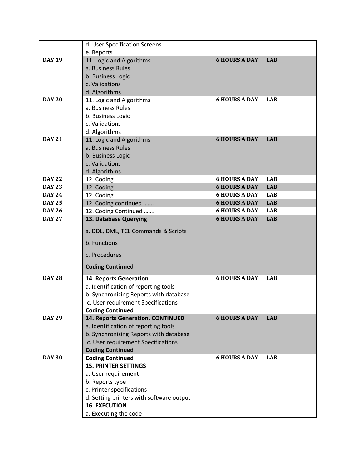|               | d. User Specification Screens                      |                      |            |
|---------------|----------------------------------------------------|----------------------|------------|
| <b>DAY 19</b> | e. Reports                                         | <b>6 HOURS A DAY</b> | <b>LAB</b> |
|               | 11. Logic and Algorithms<br>a. Business Rules      |                      |            |
|               | b. Business Logic                                  |                      |            |
|               | c. Validations                                     |                      |            |
|               | d. Algorithms                                      |                      |            |
| <b>DAY 20</b> | 11. Logic and Algorithms                           | <b>6 HOURS A DAY</b> | <b>LAB</b> |
|               | a. Business Rules                                  |                      |            |
|               | b. Business Logic                                  |                      |            |
|               | c. Validations                                     |                      |            |
|               | d. Algorithms                                      |                      |            |
| <b>DAY 21</b> | 11. Logic and Algorithms                           | <b>6 HOURS A DAY</b> | <b>LAB</b> |
|               | a. Business Rules                                  |                      |            |
|               | b. Business Logic                                  |                      |            |
|               | c. Validations                                     |                      |            |
|               | d. Algorithms                                      |                      |            |
| <b>DAY 22</b> | 12. Coding                                         | <b>6 HOURS A DAY</b> | <b>LAB</b> |
| <b>DAY 23</b> | 12. Coding                                         | <b>6 HOURS A DAY</b> | <b>LAB</b> |
| <b>DAY 24</b> | 12. Coding                                         | <b>6 HOURS A DAY</b> | <b>LAB</b> |
| <b>DAY 25</b> | 12. Coding continued                               | <b>6 HOURS A DAY</b> | <b>LAB</b> |
| <b>DAY 26</b> | 12. Coding Continued                               | <b>6 HOURS A DAY</b> | <b>LAB</b> |
| <b>DAY 27</b> | 13. Database Querying                              | <b>6 HOURS A DAY</b> | <b>LAB</b> |
|               | a. DDL, DML, TCL Commands & Scripts                |                      |            |
|               | b. Functions                                       |                      |            |
|               | c. Procedures                                      |                      |            |
|               | <b>Coding Continued</b>                            |                      |            |
| <b>DAY 28</b> | 14. Reports Generation.                            | <b>6 HOURS A DAY</b> | <b>LAB</b> |
|               | a. Identification of reporting tools               |                      |            |
|               | b. Synchronizing Reports with database             |                      |            |
|               | c. User requirement Specifications                 |                      |            |
|               | <b>Coding Continued</b>                            |                      |            |
| <b>DAY 29</b> | 14. Reports Generation. CONTINUED                  | <b>6 HOURS A DAY</b> | <b>LAB</b> |
|               | a. Identification of reporting tools               |                      |            |
|               | b. Synchronizing Reports with database             |                      |            |
|               | c. User requirement Specifications                 |                      |            |
| <b>DAY 30</b> | <b>Coding Continued</b><br><b>Coding Continued</b> | <b>6 HOURS A DAY</b> | <b>LAB</b> |
|               | <b>15. PRINTER SETTINGS</b>                        |                      |            |
|               | a. User requirement                                |                      |            |
|               | b. Reports type                                    |                      |            |
|               | c. Printer specifications                          |                      |            |
|               | d. Setting printers with software output           |                      |            |
|               | <b>16. EXECUTION</b>                               |                      |            |
|               | a. Executing the code                              |                      |            |
|               |                                                    |                      |            |